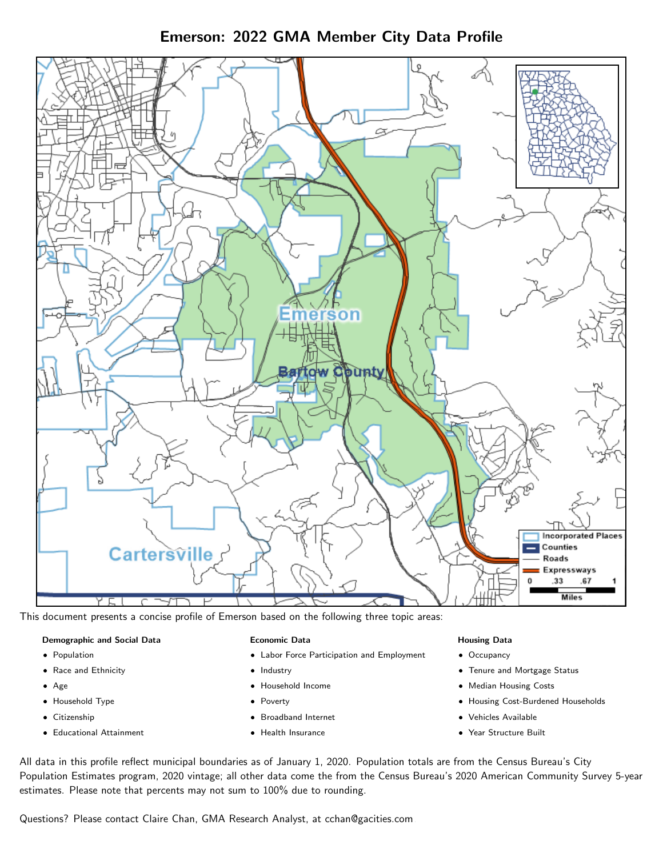Emerson: 2022 GMA Member City Data Profile



This document presents a concise profile of Emerson based on the following three topic areas:

## Demographic and Social Data

- **•** Population
- Race and Ethnicity
- Age
- Household Type
- **Citizenship**
- Educational Attainment

#### Economic Data

- Labor Force Participation and Employment
- Industry
- Household Income
- Poverty
- Broadband Internet
- Health Insurance

#### Housing Data

- Occupancy
- Tenure and Mortgage Status
- Median Housing Costs
- Housing Cost-Burdened Households
- Vehicles Available
- Year Structure Built

All data in this profile reflect municipal boundaries as of January 1, 2020. Population totals are from the Census Bureau's City Population Estimates program, 2020 vintage; all other data come the from the Census Bureau's 2020 American Community Survey 5-year estimates. Please note that percents may not sum to 100% due to rounding.

Questions? Please contact Claire Chan, GMA Research Analyst, at [cchan@gacities.com.](mailto:cchan@gacities.com)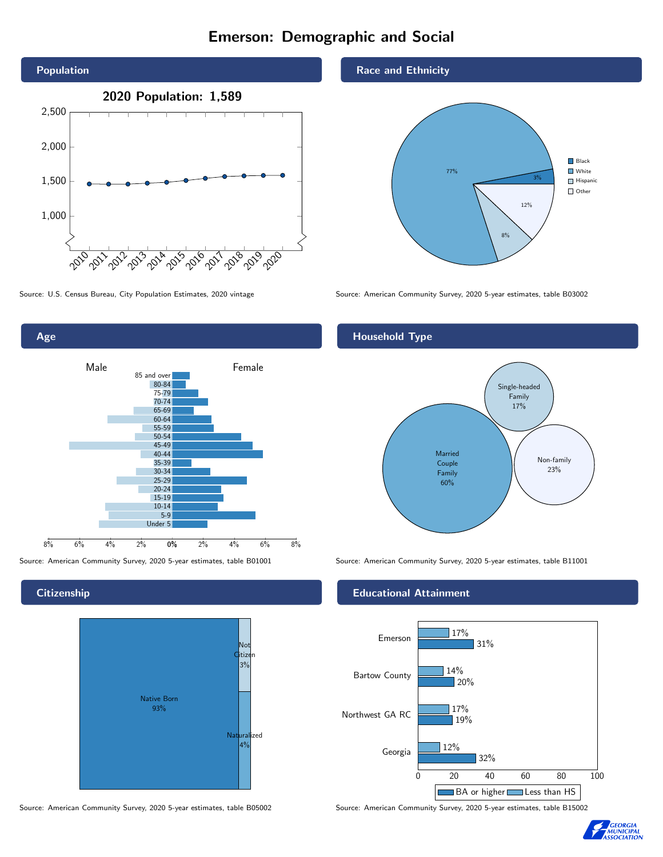# Emerson: Demographic and Social





**Citizenship** 



Source: American Community Survey, 2020 5-year estimates, table B05002 Source: American Community Survey, 2020 5-year estimates, table B15002

Race and Ethnicity



Source: U.S. Census Bureau, City Population Estimates, 2020 vintage Source: American Community Survey, 2020 5-year estimates, table B03002

## Household Type



Source: American Community Survey, 2020 5-year estimates, table B01001 Source: American Community Survey, 2020 5-year estimates, table B11001

#### Educational Attainment



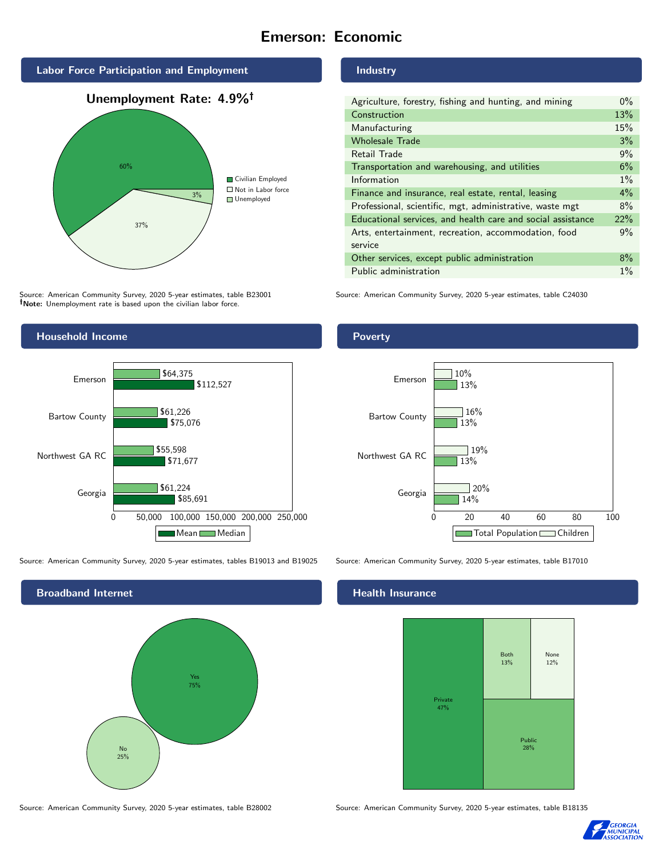# Emerson: Economic







Source: American Community Survey, 2020 5-year estimates, table B23001 Note: Unemployment rate is based upon the civilian labor force.



Source: American Community Survey, 2020 5-year estimates, tables B19013 and B19025 Source: American Community Survey, 2020 5-year estimates, table B17010



#### Industry

| Agriculture, forestry, fishing and hunting, and mining      | $0\%$ |
|-------------------------------------------------------------|-------|
| Construction                                                | 13%   |
| Manufacturing                                               | 15%   |
| <b>Wholesale Trade</b>                                      | 3%    |
| Retail Trade                                                | 9%    |
| Transportation and warehousing, and utilities               | 6%    |
| Information                                                 | $1\%$ |
| Finance and insurance, real estate, rental, leasing         | 4%    |
| Professional, scientific, mgt, administrative, waste mgt    | 8%    |
| Educational services, and health care and social assistance | 22%   |
| Arts, entertainment, recreation, accommodation, food        | 9%    |
| service                                                     |       |
| Other services, except public administration                | 8%    |
| Public administration                                       | $1\%$ |

Source: American Community Survey, 2020 5-year estimates, table C24030

## Poverty



#### Health Insurance



Source: American Community Survey, 2020 5-year estimates, table B28002 Source: American Community Survey, 2020 5-year estimates, table B18135